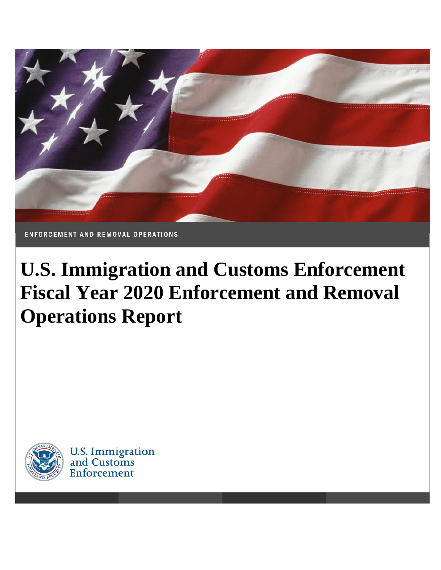

# **U.S. Immigration and Customs Enforcement Fiscal Year 2020 Enforcement and Removal Operations Report**



U.S. Immigration<br>and Customs Enforcement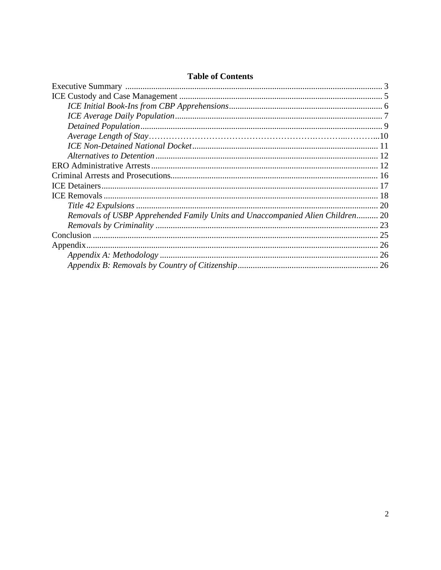| <b>Table of Contents</b> |
|--------------------------|
|--------------------------|

| Removals of USBP Apprehended Family Units and Unaccompanied Alien Children 20 |  |
|-------------------------------------------------------------------------------|--|
|                                                                               |  |
|                                                                               |  |
|                                                                               |  |
|                                                                               |  |
|                                                                               |  |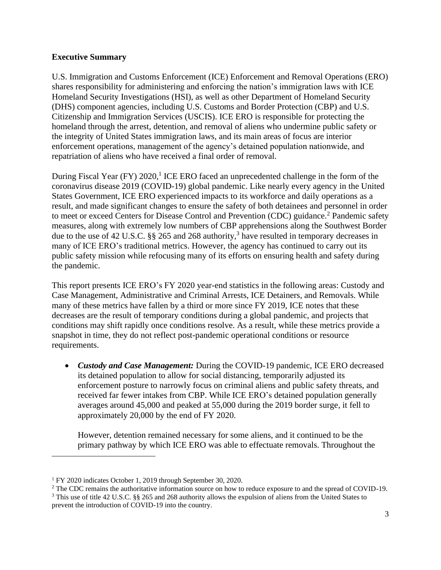## <span id="page-2-0"></span>**Executive Summary**

U.S. Immigration and Customs Enforcement (ICE) Enforcement and Removal Operations (ERO) shares responsibility for administering and enforcing the nation's immigration laws with ICE Homeland Security Investigations (HSI), as well as other Department of Homeland Security (DHS) component agencies, including U.S. Customs and Border Protection (CBP) and U.S. Citizenship and Immigration Services (USCIS). ICE ERO is responsible for protecting the homeland through the arrest, detention, and removal of aliens who undermine public safety or the integrity of United States immigration laws, and its main areas of focus are interior enforcement operations, management of the agency's detained population nationwide, and repatriation of aliens who have received a final order of removal.

During Fiscal Year (FY) 2020,<sup>1</sup> ICE ERO faced an unprecedented challenge in the form of the coronavirus disease 2019 (COVID-19) global pandemic. Like nearly every agency in the United States Government, ICE ERO experienced impacts to its workforce and daily operations as a result, and made significant changes to ensure the safety of both detainees and personnel in order to meet or exceed Centers for Disease Control and Prevention (CDC) guidance.<sup>2</sup> Pandemic safety measures, along with extremely low numbers of CBP apprehensions along the Southwest Border due to the use of 42 U.S.C. §§ 265 and 268 authority, 3 have resulted in temporary decreases in many of ICE ERO's traditional metrics. However, the agency has continued to carry out its public safety mission while refocusing many of its efforts on ensuring health and safety during the pandemic.

This report presents ICE ERO's FY 2020 year-end statistics in the following areas: Custody and Case Management, Administrative and Criminal Arrests, ICE Detainers, and Removals. While many of these metrics have fallen by a third or more since FY 2019, ICE notes that these decreases are the result of temporary conditions during a global pandemic, and projects that conditions may shift rapidly once conditions resolve. As a result, while these metrics provide a snapshot in time, they do not reflect post-pandemic operational conditions or resource requirements.

• *Custody and Case Management:* During the COVID-19 pandemic, ICE ERO decreased its detained population to allow for social distancing, temporarily adjusted its enforcement posture to narrowly focus on criminal aliens and public safety threats, and received far fewer intakes from CBP. While ICE ERO's detained population generally averages around 45,000 and peaked at 55,000 during the 2019 border surge, it fell to approximately 20,000 by the end of FY 2020.

However, detention remained necessary for some aliens, and it continued to be the primary pathway by which ICE ERO was able to effectuate removals. Throughout the

<sup>1</sup> FY 2020 indicates October 1, 2019 through September 30, 2020.

<sup>&</sup>lt;sup>2</sup> The CDC remains the authoritative information source on how to reduce exposure to and the spread of COVID-19. <sup>3</sup> This use of title 42 U.S.C. §§ 265 and 268 authority allows the expulsion of aliens from the United States to prevent the introduction of COVID-19 into the country.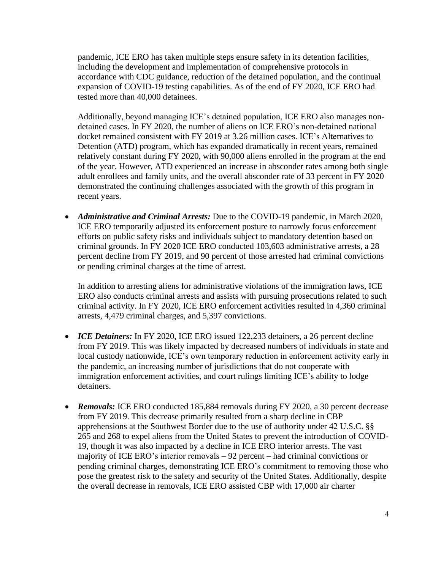pandemic, ICE ERO has taken multiple steps ensure safety in its detention facilities, including the development and implementation of comprehensive protocols in accordance with CDC guidance, reduction of the detained population, and the continual expansion of COVID-19 testing capabilities. As of the end of FY 2020, ICE ERO had tested more than 40,000 detainees.

Additionally, beyond managing ICE's detained population, ICE ERO also manages nondetained cases. In FY 2020, the number of aliens on ICE ERO's non-detained national docket remained consistent with FY 2019 at 3.26 million cases. ICE's Alternatives to Detention (ATD) program, which has expanded dramatically in recent years, remained relatively constant during FY 2020, with 90,000 aliens enrolled in the program at the end of the year. However, ATD experienced an increase in absconder rates among both single adult enrollees and family units, and the overall absconder rate of 33 percent in FY 2020 demonstrated the continuing challenges associated with the growth of this program in recent years.

• *Administrative and Criminal Arrests:* Due to the COVID-19 pandemic, in March 2020, ICE ERO temporarily adjusted its enforcement posture to narrowly focus enforcement efforts on public safety risks and individuals subject to mandatory detention based on criminal grounds. In FY 2020 ICE ERO conducted 103,603 administrative arrests, a 28 percent decline from FY 2019, and 90 percent of those arrested had criminal convictions or pending criminal charges at the time of arrest.

In addition to arresting aliens for administrative violations of the immigration laws, ICE ERO also conducts criminal arrests and assists with pursuing prosecutions related to such criminal activity. In FY 2020, ICE ERO enforcement activities resulted in 4,360 criminal arrests, 4,479 criminal charges, and 5,397 convictions.

- *ICE Detainers:* In FY 2020, ICE ERO issued 122,233 detainers, a 26 percent decline from FY 2019. This was likely impacted by decreased numbers of individuals in state and local custody nationwide, ICE's own temporary reduction in enforcement activity early in the pandemic, an increasing number of jurisdictions that do not cooperate with immigration enforcement activities, and court rulings limiting ICE's ability to lodge detainers.
- *Removals:* ICE ERO conducted 185,884 removals during FY 2020, a 30 percent decrease from FY 2019. This decrease primarily resulted from a sharp decline in CBP apprehensions at the Southwest Border due to the use of authority under 42 U.S.C. §§ 265 and 268 to expel aliens from the United States to prevent the introduction of COVID-19, though it was also impacted by a decline in ICE ERO interior arrests. The vast majority of ICE ERO's interior removals – 92 percent – had criminal convictions or pending criminal charges, demonstrating ICE ERO's commitment to removing those who pose the greatest risk to the safety and security of the United States. Additionally, despite the overall decrease in removals, ICE ERO assisted CBP with 17,000 air charter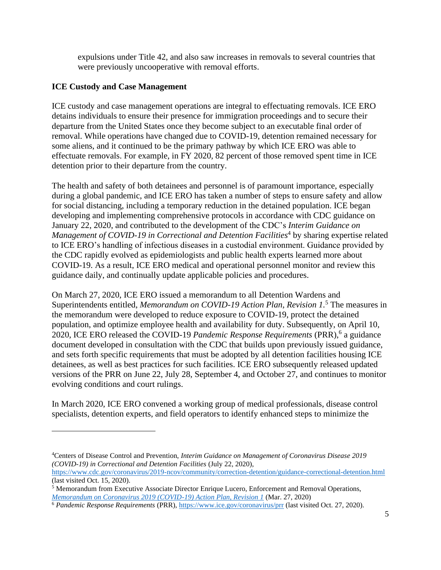expulsions under Title 42, and also saw increases in removals to several countries that were previously uncooperative with removal efforts.

## <span id="page-4-0"></span>**ICE Custody and Case Management**

<span id="page-4-1"></span>ICE custody and case management operations are integral to effectuating removals. ICE ERO detains individuals to ensure their presence for immigration proceedings and to secure their departure from the United States once they become subject to an executable final order of removal. While operations have changed due to COVID-19, detention remained necessary for some aliens, and it continued to be the primary pathway by which ICE ERO was able to effectuate removals. For example, in FY 2020, 82 percent of those removed spent time in ICE detention prior to their departure from the country.

The health and safety of both detainees and personnel is of paramount importance, especially during a global pandemic, and ICE ERO has taken a number of steps to ensure safety and allow for social distancing, including a temporary reduction in the detained population. ICE began developing and implementing comprehensive protocols in accordance with CDC guidance on January 22, 2020, and contributed to the development of the CDC's *Interim Guidance on*  Management of COVID-19 in Correctional and Detention Facilities<sup>4</sup> by sharing expertise related to ICE ERO's handling of infectious diseases in a custodial environment. Guidance provided by the CDC rapidly evolved as epidemiologists and public health experts learned more about COVID-19. As a result, ICE ERO medical and operational personnel monitor and review this guidance daily, and continually update applicable policies and procedures.

On March 27, 2020, ICE ERO issued a memorandum to all Detention Wardens and Superintendents entitled, *Memorandum on COVID-19 Action Plan, Revision 1.* <sup>5</sup> The measures in the memorandum were developed to reduce exposure to COVID-19, protect the detained population, and optimize employee health and availability for duty. Subsequently, on April 10, 2020, ICE ERO released the COVID-19 *Pandemic Response Requirements* (PRR),<sup>6</sup> a guidance document developed in consultation with the CDC that builds upon previously issued guidance, and sets forth specific requirements that must be adopted by all detention facilities housing ICE detainees, as well as best practices for such facilities. ICE ERO subsequently released updated versions of the PRR on June 22, July 28, September 4, and October 27, and continues to monitor evolving conditions and court rulings.

In March 2020, ICE ERO convened a working group of medical professionals, disease control specialists, detention experts, and field operators to identify enhanced steps to minimize the

<sup>4</sup>Centers of Disease Control and Prevention, *Interim Guidance on Management of Coronavirus Disease 2019 (COVID-19) in Correctional and Detention Facilities* (July 22, 2020),

<https://www.cdc.gov/coronavirus/2019-ncov/community/correction-detention/guidance-correctional-detention.html> (last visited Oct. 15, 2020).

<sup>5</sup> Memorandum from Executive Associate Director Enrique Lucero, Enforcement and Removal Operations, *[Memorandum on Coronavirus 2019 \(COVID-19\) Action Plan, Revision 1](https://www.ice.gov/doclib/coronavirus/attF.pdf)* (Mar. 27, 2020)

<sup>6</sup> *Pandemic Response Requirements* (PRR)[, https://www.ice.gov/coronavirus/prr](https://www.ice.gov/coronavirus/prr) (last visited Oct. 27, 2020).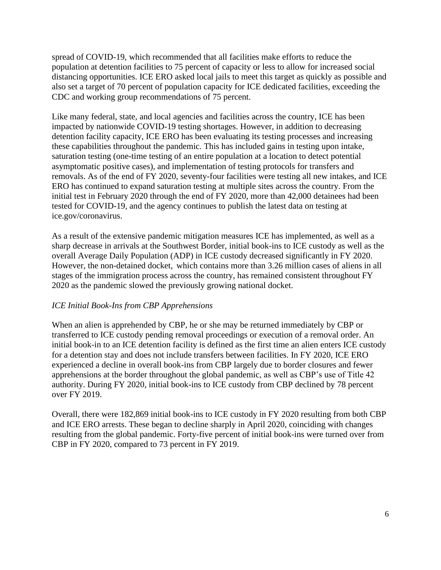spread of COVID-19, which recommended that all facilities make efforts to reduce the population at detention facilities to 75 percent of capacity or less to allow for increased social distancing opportunities. ICE ERO asked local jails to meet this target as quickly as possible and also set a target of 70 percent of population capacity for ICE dedicated facilities, exceeding the CDC and working group recommendations of 75 percent.

Like many federal, state, and local agencies and facilities across the country, ICE has been impacted by nationwide COVID-19 testing shortages. However, in addition to decreasing detention facility capacity, ICE ERO has been evaluating its testing processes and increasing these capabilities throughout the pandemic. This has included gains in testing upon intake, saturation testing (one-time testing of an entire population at a location to detect potential asymptomatic positive cases), and implementation of testing protocols for transfers and removals. As of the end of FY 2020, seventy-four facilities were testing all new intakes, and ICE ERO has continued to expand saturation testing at multiple sites across the country. From the initial test in February 2020 through the end of FY 2020, more than 42,000 detainees had been tested for COVID-19, and the agency continues to publish the latest data on testing at ice.gov/coronavirus.

As a result of the extensive pandemic mitigation measures ICE has implemented, as well as a sharp decrease in arrivals at the Southwest Border, initial book-ins to ICE custody as well as the overall Average Daily Population (ADP) in ICE custody decreased significantly in FY 2020. However, the non-detained docket, which contains more than 3.26 million cases of aliens in all stages of the immigration process across the country, has remained consistent throughout FY 2020 as the pandemic slowed the previously growing national docket.

# *ICE Initial Book-Ins from CBP Apprehensions*

When an alien is apprehended by CBP, he or she may be returned immediately by CBP or transferred to ICE custody pending removal proceedings or execution of a removal order. An initial book-in to an ICE detention facility is defined as the first time an alien enters ICE custody for a detention stay and does not include transfers between facilities. In FY 2020, ICE ERO experienced a decline in overall book-ins from CBP largely due to border closures and fewer apprehensions at the border throughout the global pandemic, as well as CBP's use of Title 42 authority. During FY 2020, initial book-ins to ICE custody from CBP declined by 78 percent over FY 2019.

Overall, there were 182,869 initial book-ins to ICE custody in FY 2020 resulting from both CBP and ICE ERO arrests. These began to decline sharply in April 2020, coinciding with changes resulting from the global pandemic. Forty-five percent of initial book-ins were turned over from CBP in FY 2020, compared to 73 percent in FY 2019.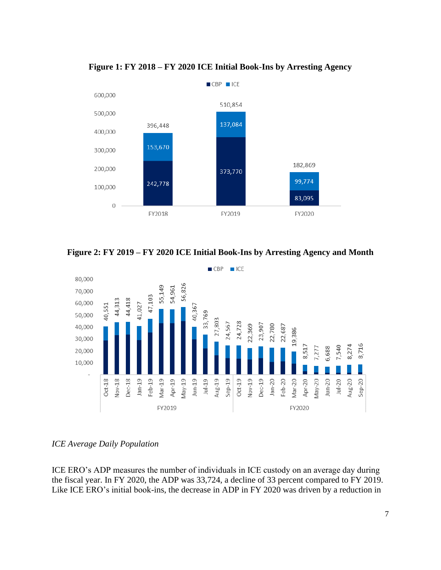

**Figure 1: FY 2018 – FY 2020 ICE Initial Book-Ins by Arresting Agency**

**Figure 2: FY 2019 – FY 2020 ICE Initial Book-Ins by Arresting Agency and Month**



## <span id="page-6-0"></span>*ICE Average Daily Population*

ICE ERO's ADP measures the number of individuals in ICE custody on an average day during the fiscal year. In FY 2020, the ADP was 33,724, a decline of 33 percent compared to FY 2019. Like ICE ERO's initial book-ins, the decrease in ADP in FY 2020 was driven by a reduction in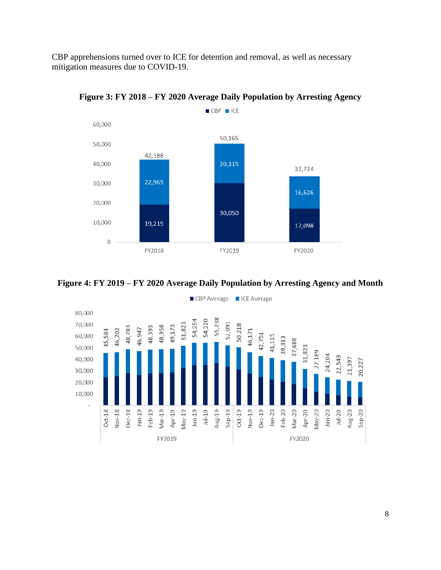CBP apprehensions turned over to ICE for detention and removal, as well as necessary mitigation measures due to COVID-19.



**Figure 3: FY 2018 – FY 2020 Average Daily Population by Arresting Agency**





CBP Average CICE Average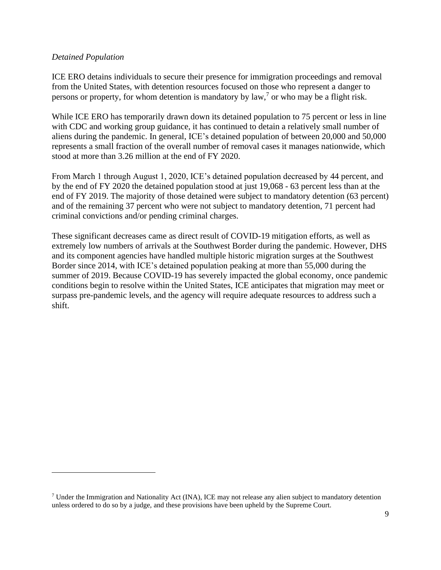## *Detained Population*

ICE ERO detains individuals to secure their presence for immigration proceedings and removal from the United States, with detention resources focused on those who represent a danger to persons or property, for whom detention is mandatory by  $law$ , or who may be a flight risk.

While ICE ERO has temporarily drawn down its detained population to 75 percent or less in line with CDC and working group guidance, it has continued to detain a relatively small number of aliens during the pandemic. In general, ICE's detained population of between 20,000 and 50,000 represents a small fraction of the overall number of removal cases it manages nationwide, which stood at more than 3.26 million at the end of FY 2020.

From March 1 through August 1, 2020, ICE's detained population decreased by 44 percent, and by the end of FY 2020 the detained population stood at just 19,068 - 63 percent less than at the end of FY 2019. The majority of those detained were subject to mandatory detention (63 percent) and of the remaining 37 percent who were not subject to mandatory detention, 71 percent had criminal convictions and/or pending criminal charges.

These significant decreases came as direct result of COVID-19 mitigation efforts, as well as extremely low numbers of arrivals at the Southwest Border during the pandemic. However, DHS and its component agencies have handled multiple historic migration surges at the Southwest Border since 2014, with ICE's detained population peaking at more than 55,000 during the summer of 2019. Because COVID-19 has severely impacted the global economy, once pandemic conditions begin to resolve within the United States, ICE anticipates that migration may meet or surpass pre-pandemic levels, and the agency will require adequate resources to address such a shift.

<sup>7</sup> Under the Immigration and Nationality Act (INA), ICE may not release any alien subject to mandatory detention unless ordered to do so by a judge, and these provisions have been upheld by the Supreme Court.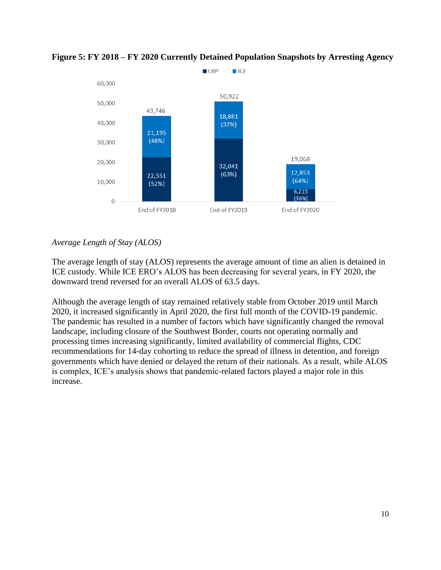

**Figure 5: FY 2018 – FY 2020 Currently Detained Population Snapshots by Arresting Agency**

# *Average Length of Stay (ALOS)*

The average length of stay (ALOS) represents the average amount of time an alien is detained in ICE custody. While ICE ERO's ALOS has been decreasing for several years, in FY 2020, the downward trend reversed for an overall ALOS of 63.5 days.

Although the average length of stay remained relatively stable from October 2019 until March 2020, it increased significantly in April 2020, the first full month of the COVID-19 pandemic. The pandemic has resulted in a number of factors which have significantly changed the removal landscape, including closure of the Southwest Border, courts not operating normally and processing times increasing significantly, limited availability of commercial flights, CDC recommendations for 14-day cohorting to reduce the spread of illness in detention, and foreign governments which have denied or delayed the return of their nationals. As a result, while ALOS is complex, ICE's analysis shows that pandemic-related factors played a major role in this increase.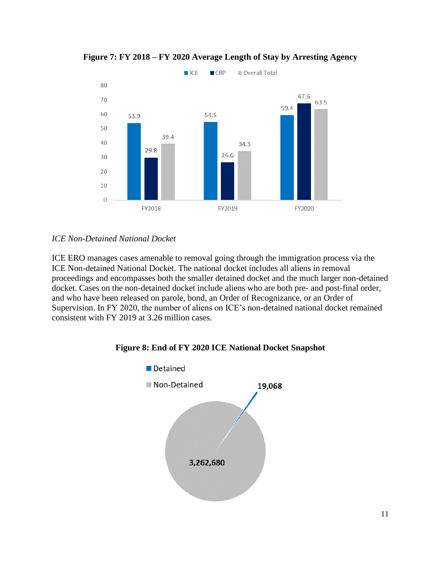

**Figure 7: FY 2018 – FY 2020 Average Length of Stay by Arresting Agency**

# <span id="page-10-0"></span>*ICE Non-Detained National Docket*

ICE ERO manages cases amenable to removal going through the immigration process via the ICE Non-detained National Docket. The national docket includes all aliens in removal proceedings and encompasses both the smaller detained docket and the much larger non-detained docket. Cases on the non-detained docket include aliens who are both pre- and post-final order, and who have been released on parole, bond, an Order of Recognizance, or an Order of Supervision. In FY 2020, the number of aliens on ICE's non-detained national docket remained consistent with FY 2019 at 3.26 million cases.

# **Figure 8: End of FY 2020 ICE National Docket Snapshot**

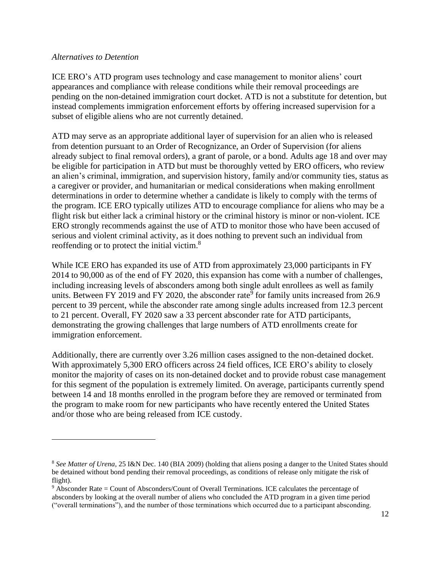#### <span id="page-11-0"></span>*Alternatives to Detention*

<span id="page-11-1"></span>ICE ERO's ATD program uses technology and case management to monitor aliens' court appearances and compliance with release conditions while their removal proceedings are pending on the non-detained immigration court docket. ATD is not a substitute for detention, but instead complements immigration enforcement efforts by offering increased supervision for a subset of eligible aliens who are not currently detained.

ATD may serve as an appropriate additional layer of supervision for an alien who is released from detention pursuant to an Order of Recognizance, an Order of Supervision (for aliens already subject to final removal orders), a grant of parole, or a bond. Adults age 18 and over may be eligible for participation in ATD but must be thoroughly vetted by ERO officers, who review an alien's criminal, immigration, and supervision history, family and/or community ties, status as a caregiver or provider, and humanitarian or medical considerations when making enrollment determinations in order to determine whether a candidate is likely to comply with the terms of the program. ICE ERO typically utilizes ATD to encourage compliance for aliens who may be a flight risk but either lack a criminal history or the criminal history is minor or non-violent. ICE ERO strongly recommends against the use of ATD to monitor those who have been accused of serious and violent criminal activity, as it does nothing to prevent such an individual from reoffending or to protect the initial victim.<sup>8</sup>

While ICE ERO has expanded its use of ATD from approximately 23,000 participants in FY 2014 to 90,000 as of the end of FY 2020, this expansion has come with a number of challenges, including increasing levels of absconders among both single adult enrollees as well as family units. Between FY 2019 and FY 2020, the absconder rate<sup>9</sup> for family units increased from 26.9 percent to 39 percent, while the absconder rate among single adults increased from 12.3 percent to 21 percent. Overall, FY 2020 saw a 33 percent absconder rate for ATD participants, demonstrating the growing challenges that large numbers of ATD enrollments create for immigration enforcement.

Additionally, there are currently over 3.26 million cases assigned to the non-detained docket. With approximately 5,300 ERO officers across 24 field offices, ICE ERO's ability to closely monitor the majority of cases on its non-detained docket and to provide robust case management for this segment of the population is extremely limited. On average, participants currently spend between 14 and 18 months enrolled in the program before they are removed or terminated from the program to make room for new participants who have recently entered the United States and/or those who are being released from ICE custody.

<sup>8</sup> *See Matter of Urena*, 25 I&N Dec. 140 (BIA 2009) (holding that aliens posing a danger to the United States should be detained without bond pending their removal proceedings, as conditions of release only mitigate the risk of flight).

<sup>9</sup> Absconder Rate = Count of Absconders/Count of Overall Terminations. ICE calculates the percentage of absconders by looking at the overall number of aliens who concluded the ATD program in a given time period ("overall terminations"), and the number of those terminations which occurred due to a participant absconding.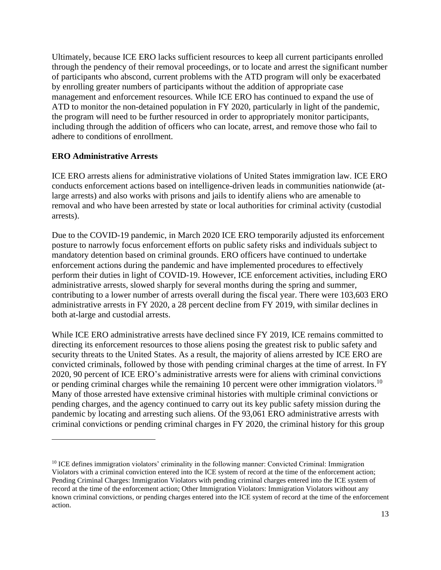Ultimately, because ICE ERO lacks sufficient resources to keep all current participants enrolled through the pendency of their removal proceedings, or to locate and arrest the significant number of participants who abscond, current problems with the ATD program will only be exacerbated by enrolling greater numbers of participants without the addition of appropriate case management and enforcement resources. While ICE ERO has continued to expand the use of ATD to monitor the non-detained population in FY 2020, particularly in light of the pandemic, the program will need to be further resourced in order to appropriately monitor participants, including through the addition of officers who can locate, arrest, and remove those who fail to adhere to conditions of enrollment.

# **ERO Administrative Arrests**

ICE ERO arrests aliens for administrative violations of United States immigration law. ICE ERO conducts enforcement actions based on intelligence-driven leads in communities nationwide (atlarge arrests) and also works with prisons and jails to identify aliens who are amenable to removal and who have been arrested by state or local authorities for criminal activity (custodial arrests).

Due to the COVID-19 pandemic, in March 2020 ICE ERO temporarily adjusted its enforcement posture to narrowly focus enforcement efforts on public safety risks and individuals subject to mandatory detention based on criminal grounds. ERO officers have continued to undertake enforcement actions during the pandemic and have implemented procedures to effectively perform their duties in light of COVID-19. However, ICE enforcement activities, including ERO administrative arrests, slowed sharply for several months during the spring and summer, contributing to a lower number of arrests overall during the fiscal year. There were 103,603 ERO administrative arrests in FY 2020, a 28 percent decline from FY 2019, with similar declines in both at-large and custodial arrests.

While ICE ERO administrative arrests have declined since FY 2019, ICE remains committed to directing its enforcement resources to those aliens posing the greatest risk to public safety and security threats to the United States. As a result, the majority of aliens arrested by ICE ERO are convicted criminals, followed by those with pending criminal charges at the time of arrest. In FY 2020, 90 percent of ICE ERO's administrative arrests were for aliens with criminal convictions or pending criminal charges while the remaining 10 percent were other immigration violators.<sup>10</sup> Many of those arrested have extensive criminal histories with multiple criminal convictions or pending charges, and the agency continued to carry out its key public safety mission during the pandemic by locating and arresting such aliens. Of the 93,061 ERO administrative arrests with criminal convictions or pending criminal charges in FY 2020, the criminal history for this group

<sup>&</sup>lt;sup>10</sup> ICE defines immigration violators' criminality in the following manner: Convicted Criminal: Immigration Violators with a criminal conviction entered into the ICE system of record at the time of the enforcement action; Pending Criminal Charges: Immigration Violators with pending criminal charges entered into the ICE system of record at the time of the enforcement action; Other Immigration Violators: Immigration Violators without any known criminal convictions, or pending charges entered into the ICE system of record at the time of the enforcement action.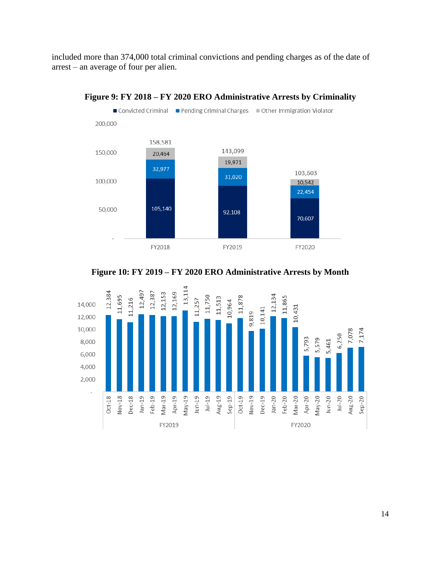included more than 374,000 total criminal convictions and pending charges as of the date of arrest – an average of four per alien.



#### **Figure 9: FY 2018 – FY 2020 ERO Administrative Arrests by Criminality**



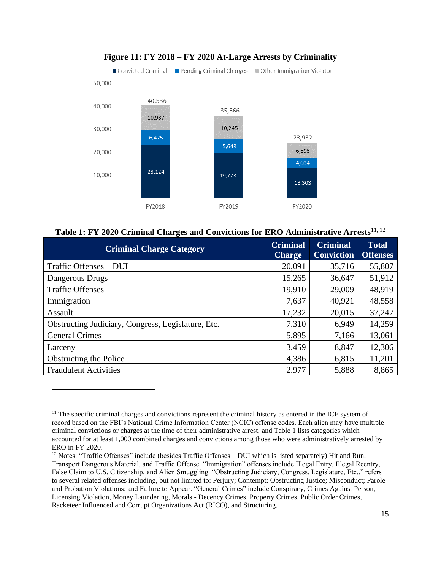

# **Figure 11: FY 2018 – FY 2020 At-Large Arrests by Criminality**

|  | Table 1: FY 2020 Criminal Charges and Convictions for ERO Administrative Arrests <sup>11, 12</sup> |  |
|--|----------------------------------------------------------------------------------------------------|--|
|  |                                                                                                    |  |

| <b>Criminal Charge Category</b>                    | <b>Criminal</b><br><b>Charge</b> | <b>Criminal</b><br><b>Conviction</b> | <b>Total</b><br><b>Offenses</b> |
|----------------------------------------------------|----------------------------------|--------------------------------------|---------------------------------|
| Traffic Offenses - DUI                             | 20,091                           | 35,716                               | 55,807                          |
| Dangerous Drugs                                    | 15,265                           | 36,647                               | 51,912                          |
| <b>Traffic Offenses</b>                            | 19,910                           | 29,009                               | 48,919                          |
| Immigration                                        | 7,637                            | 40,921                               | 48,558                          |
| Assault                                            | 17,232                           | 20,015                               | 37,247                          |
| Obstructing Judiciary, Congress, Legislature, Etc. | 7,310                            | 6,949                                | 14,259                          |
| <b>General Crimes</b>                              | 5,895                            | 7,166                                | 13,061                          |
| Larceny                                            | 3,459                            | 8,847                                | 12,306                          |
| Obstructing the Police                             | 4,386                            | 6,815                                | 11,201                          |
| <b>Fraudulent Activities</b>                       | 2,977                            | 5,888                                | 8,865                           |

 $<sup>11</sup>$  The specific criminal charges and convictions represent the criminal history as entered in the ICE system of</sup> record based on the FBI's National Crime Information Center (NCIC) offense codes. Each alien may have multiple criminal convictions or charges at the time of their administrative arrest, and Table 1 lists categories which accounted for at least 1,000 combined charges and convictions among those who were administratively arrested by ERO in FY 2020.

<sup>&</sup>lt;sup>12</sup> Notes: "Traffic Offenses" include (besides Traffic Offenses – DUI which is listed separately) Hit and Run, Transport Dangerous Material, and Traffic Offense. "Immigration" offenses include Illegal Entry, Illegal Reentry, False Claim to U.S. Citizenship, and Alien Smuggling. "Obstructing Judiciary, Congress, Legislature, Etc.," refers to several related offenses including, but not limited to: Perjury; Contempt; Obstructing Justice; Misconduct; Parole and Probation Violations; and Failure to Appear. "General Crimes" include Conspiracy, Crimes Against Person, Licensing Violation, Money Laundering, Morals - Decency Crimes, Property Crimes, Public Order Crimes, Racketeer Influenced and Corrupt Organizations Act (RICO), and Structuring.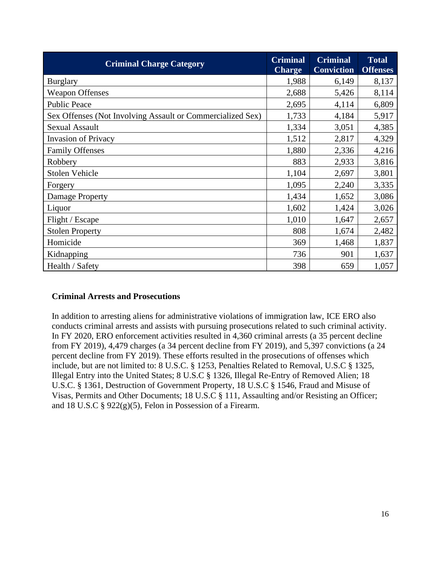| <b>Criminal Charge Category</b>                            | <b>Criminal</b><br><b>Charge</b> | <b>Criminal</b><br><b>Conviction</b> | <b>Total</b><br><b>Offenses</b> |
|------------------------------------------------------------|----------------------------------|--------------------------------------|---------------------------------|
| <b>Burglary</b>                                            | 1,988                            | 6,149                                | 8,137                           |
| <b>Weapon Offenses</b>                                     | 2,688                            | 5,426                                | 8,114                           |
| <b>Public Peace</b>                                        | 2,695                            | 4,114                                | 6,809                           |
| Sex Offenses (Not Involving Assault or Commercialized Sex) | 1,733                            | 4,184                                | 5,917                           |
| <b>Sexual Assault</b>                                      | 1,334                            | 3,051                                | 4,385                           |
| <b>Invasion of Privacy</b>                                 | 1,512                            | 2,817                                | 4,329                           |
| <b>Family Offenses</b>                                     | 1,880                            | 2,336                                | 4,216                           |
| Robbery                                                    | 883                              | 2,933                                | 3,816                           |
| <b>Stolen Vehicle</b>                                      | 1,104                            | 2,697                                | 3,801                           |
| Forgery                                                    | 1,095                            | 2,240                                | 3,335                           |
| Damage Property                                            | 1,434                            | 1,652                                | 3,086                           |
| Liquor                                                     | 1,602                            | 1,424                                | 3,026                           |
| Flight / Escape                                            | 1,010                            | 1,647                                | 2,657                           |
| <b>Stolen Property</b>                                     | 808                              | 1,674                                | 2,482                           |
| Homicide                                                   | 369                              | 1,468                                | 1,837                           |
| Kidnapping                                                 | 736                              | 901                                  | 1,637                           |
| Health / Safety                                            | 398                              | 659                                  | 1,057                           |

## <span id="page-15-0"></span>**Criminal Arrests and Prosecutions**

In addition to arresting aliens for administrative violations of immigration law, ICE ERO also conducts criminal arrests and assists with pursuing prosecutions related to such criminal activity. In FY 2020, ERO enforcement activities resulted in 4,360 criminal arrests (a 35 percent decline from FY 2019), 4,479 charges (a 34 percent decline from FY 2019), and 5,397 convictions (a 24 percent decline from FY 2019). These efforts resulted in the prosecutions of offenses which include, but are not limited to: 8 U.S.C. § 1253, Penalties Related to Removal, U.S.C § 1325, Illegal Entry into the United States; 8 U.S.C § 1326, Illegal Re-Entry of Removed Alien; 18 U.S.C. § 1361, Destruction of Government Property, 18 U.S.C § 1546, Fraud and Misuse of Visas, Permits and Other Documents; 18 U.S.C § 111, Assaulting and/or Resisting an Officer; and 18 U.S.C § 922(g)(5), Felon in Possession of a Firearm.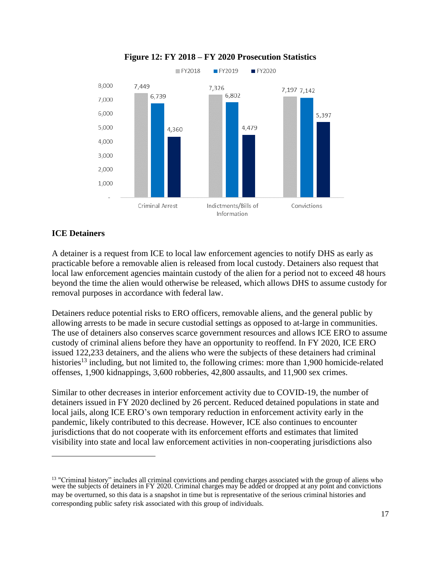

#### **Figure 12: FY 2018 – FY 2020 Prosecution Statistics**

## <span id="page-16-0"></span>**ICE Detainers**

A detainer is a request from ICE to local law enforcement agencies to notify DHS as early as practicable before a removable alien is released from local custody. Detainers also request that local law enforcement agencies maintain custody of the alien for a period not to exceed 48 hours beyond the time the alien would otherwise be released, which allows DHS to assume custody for removal purposes in accordance with federal law.

Detainers reduce potential risks to ERO officers, removable aliens, and the general public by allowing arrests to be made in secure custodial settings as opposed to at-large in communities. The use of detainers also conserves scarce government resources and allows ICE ERO to assume custody of criminal aliens before they have an opportunity to reoffend. In FY 2020, ICE ERO issued 122,233 detainers, and the aliens who were the subjects of these detainers had criminal histories<sup>13</sup> including, but not limited to, the following crimes: more than 1,900 homicide-related offenses, 1,900 kidnappings, 3,600 robberies, 42,800 assaults, and 11,900 sex crimes.

Similar to other decreases in interior enforcement activity due to COVID-19, the number of detainers issued in FY 2020 declined by 26 percent. Reduced detained populations in state and local jails, along ICE ERO's own temporary reduction in enforcement activity early in the pandemic, likely contributed to this decrease. However, ICE also continues to encounter jurisdictions that do not cooperate with its enforcement efforts and estimates that limited visibility into state and local law enforcement activities in non-cooperating jurisdictions also

<sup>&</sup>lt;sup>13</sup> "Criminal history" includes all criminal convictions and pending charges associated with the group of aliens who were the subjects of detainers in FY 2020. Criminal charges may be added or dropped at any point and convictions may be overturned, so this data is a snapshot in time but is representative of the serious criminal histories and corresponding public safety risk associated with this group of individuals.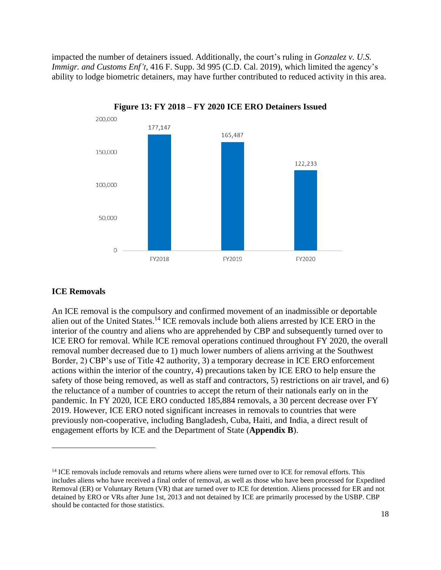impacted the number of detainers issued. Additionally, the court's ruling in *Gonzalez v. U.S. Immigr. and Customs Enf't*, 416 F. Supp. 3d 995 (C.D. Cal. 2019), which limited the agency's ability to lodge biometric detainers, may have further contributed to reduced activity in this area.



**Figure 13: FY 2018 – FY 2020 ICE ERO Detainers Issued**

#### <span id="page-17-0"></span>**ICE Removals**

An ICE removal is the compulsory and confirmed movement of an inadmissible or deportable alien out of the United States.<sup>14</sup> ICE removals include both aliens arrested by ICE ERO in the interior of the country and aliens who are apprehended by CBP and subsequently turned over to ICE ERO for removal. While ICE removal operations continued throughout FY 2020, the overall removal number decreased due to 1) much lower numbers of aliens arriving at the Southwest Border, 2) CBP's use of Title 42 authority, 3) a temporary decrease in ICE ERO enforcement actions within the interior of the country, 4) precautions taken by ICE ERO to help ensure the safety of those being removed, as well as staff and contractors, 5) restrictions on air travel, and 6) the reluctance of a number of countries to accept the return of their nationals early on in the pandemic. In FY 2020, ICE ERO conducted 185,884 removals, a 30 percent decrease over FY 2019. However, ICE ERO noted significant increases in removals to countries that were previously non-cooperative, including Bangladesh, Cuba, Haiti, and India, a direct result of engagement efforts by ICE and the Department of State (**Appendix B**).

<sup>&</sup>lt;sup>14</sup> ICE removals include removals and returns where aliens were turned over to ICE for removal efforts. This includes aliens who have received a final order of removal, as well as those who have been processed for Expedited Removal (ER) or Voluntary Return (VR) that are turned over to ICE for detention. Aliens processed for ER and not detained by ERO or VRs after June 1st, 2013 and not detained by ICE are primarily processed by the USBP. CBP should be contacted for those statistics.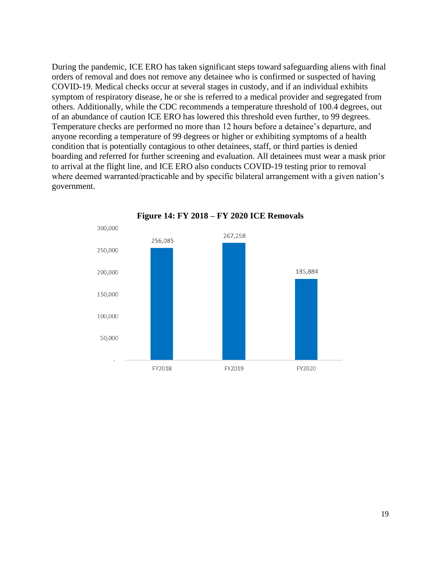During the pandemic, ICE ERO has taken significant steps toward safeguarding aliens with final orders of removal and does not remove any detainee who is confirmed or suspected of having COVID-19. Medical checks occur at several stages in custody, and if an individual exhibits symptom of respiratory disease, he or she is referred to a medical provider and segregated from others. Additionally, while the CDC recommends a temperature threshold of 100.4 degrees, out of an abundance of caution ICE ERO has lowered this threshold even further, to 99 degrees. Temperature checks are performed no more than 12 hours before a detainee's departure, and anyone recording a temperature of 99 degrees or higher or exhibiting symptoms of a health condition that is potentially contagious to other detainees, staff, or third parties is denied boarding and referred for further screening and evaluation. All detainees must wear a mask prior to arrival at the flight line, and ICE ERO also conducts COVID-19 testing prior to removal where deemed warranted/practicable and by specific bilateral arrangement with a given nation's government.



**Figure 14: FY 2018 – FY 2020 ICE Removals**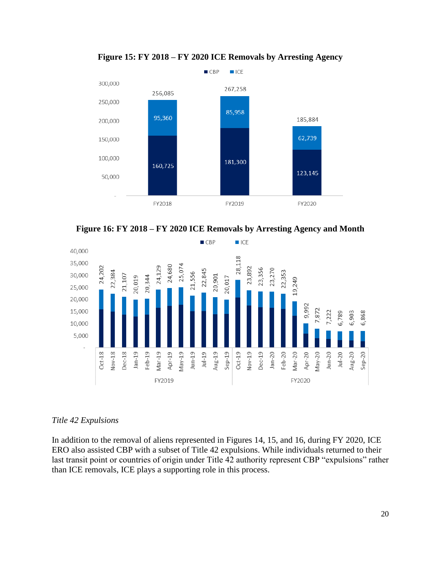

**Figure 15: FY 2018 – FY 2020 ICE Removals by Arresting Agency**





## <span id="page-19-0"></span>*Title 42 Expulsions*

In addition to the removal of aliens represented in Figures 14, 15, and 16, during FY 2020, ICE ERO also assisted CBP with a subset of Title 42 expulsions. While individuals returned to their last transit point or countries of origin under Title 42 authority represent CBP "expulsions" rather than ICE removals, ICE plays a supporting role in this process.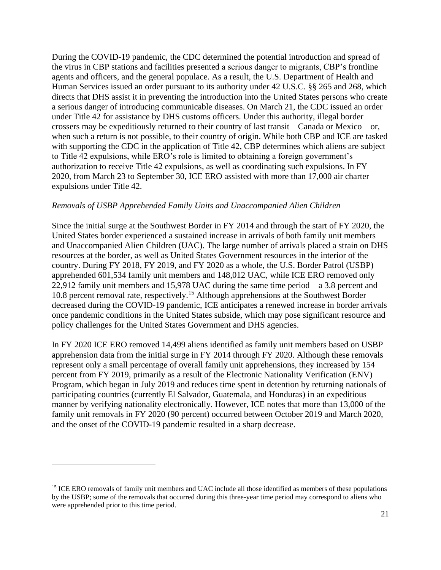During the COVID-19 pandemic, the CDC determined the potential introduction and spread of the virus in CBP stations and facilities presented a serious danger to migrants, CBP's frontline agents and officers, and the general populace. As a result, the U.S. Department of Health and Human Services issued an order pursuant to its authority under 42 U.S.C. §§ 265 and 268, which directs that DHS assist it in preventing the introduction into the United States persons who create a serious danger of introducing communicable diseases. On March 21, the CDC issued an order under Title 42 for assistance by DHS customs officers. Under this authority, illegal border crossers may be expeditiously returned to their country of last transit – Canada or Mexico – or, when such a return is not possible, to their country of origin. While both CBP and ICE are tasked with supporting the CDC in the application of Title 42, CBP determines which aliens are subject to Title 42 expulsions, while ERO's role is limited to obtaining a foreign government's authorization to receive Title 42 expulsions, as well as coordinating such expulsions. In FY 2020, from March 23 to September 30, ICE ERO assisted with more than 17,000 air charter expulsions under Title 42.

#### *Removals of USBP Apprehended Family Units and Unaccompanied Alien Children*

Since the initial surge at the Southwest Border in FY 2014 and through the start of FY 2020, the United States border experienced a sustained increase in arrivals of both family unit members and Unaccompanied Alien Children (UAC). The large number of arrivals placed a strain on DHS resources at the border, as well as United States Government resources in the interior of the country. During FY 2018, FY 2019, and FY 2020 as a whole, the U.S. Border Patrol (USBP) apprehended 601,534 family unit members and 148,012 UAC, while ICE ERO removed only 22,912 family unit members and 15,978 UAC during the same time period – a 3.8 percent and 10.8 percent removal rate, respectively.<sup>15</sup> Although apprehensions at the Southwest Border decreased during the COVID-19 pandemic, ICE anticipates a renewed increase in border arrivals once pandemic conditions in the United States subside, which may pose significant resource and policy challenges for the United States Government and DHS agencies.

In FY 2020 ICE ERO removed 14,499 aliens identified as family unit members based on USBP apprehension data from the initial surge in FY 2014 through FY 2020. Although these removals represent only a small percentage of overall family unit apprehensions, they increased by 154 percent from FY 2019, primarily as a result of the Electronic Nationality Verification (ENV) Program, which began in July 2019 and reduces time spent in detention by returning nationals of participating countries (currently El Salvador, Guatemala, and Honduras) in an expeditious manner by verifying nationality electronically. However, ICE notes that more than 13,000 of the family unit removals in FY 2020 (90 percent) occurred between October 2019 and March 2020, and the onset of the COVID-19 pandemic resulted in a sharp decrease.

<sup>&</sup>lt;sup>15</sup> ICE ERO removals of family unit members and UAC include all those identified as members of these populations by the USBP; some of the removals that occurred during this three-year time period may correspond to aliens who were apprehended prior to this time period.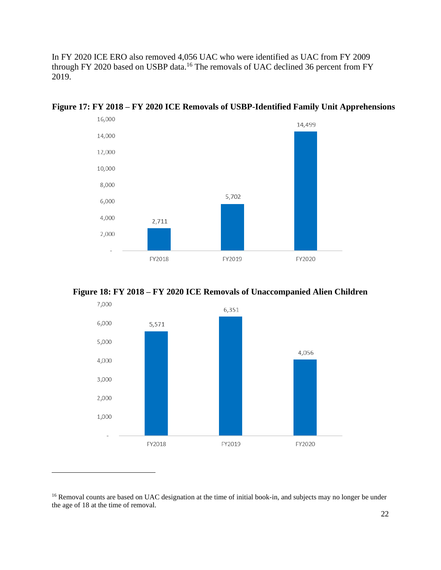In FY 2020 ICE ERO also removed 4,056 UAC who were identified as UAC from FY 2009 through FY 2020 based on USBP data.<sup>16</sup> The removals of UAC declined 36 percent from FY 2019.



**Figure 17: FY 2018 – FY 2020 ICE Removals of USBP-Identified Family Unit Apprehensions**



<span id="page-21-0"></span>

<sup>&</sup>lt;sup>16</sup> Removal counts are based on UAC designation at the time of initial book-in, and subjects may no longer be under the age of 18 at the time of removal.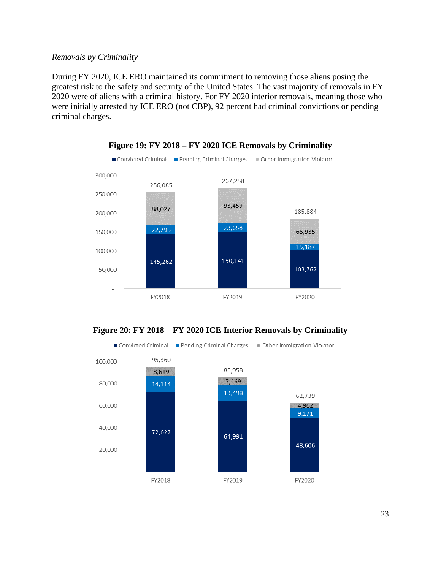#### *Removals by Criminality*

During FY 2020, ICE ERO maintained its commitment to removing those aliens posing the greatest risk to the safety and security of the United States. The vast majority of removals in FY 2020 were of aliens with a criminal history. For FY 2020 interior removals, meaning those who were initially arrested by ICE ERO (not CBP), 92 percent had criminal convictions or pending criminal charges.







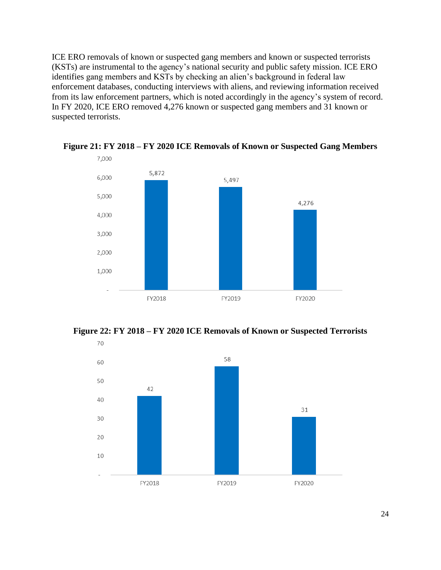ICE ERO removals of known or suspected gang members and known or suspected terrorists (KSTs) are instrumental to the agency's national security and public safety mission. ICE ERO identifies gang members and KSTs by checking an alien's background in federal law enforcement databases, conducting interviews with aliens, and reviewing information received from its law enforcement partners, which is noted accordingly in the agency's system of record. In FY 2020, ICE ERO removed 4,276 known or suspected gang members and 31 known or suspected terrorists.



**Figure 21: FY 2018 – FY 2020 ICE Removals of Known or Suspected Gang Members**

**Figure 22: FY 2018 – FY 2020 ICE Removals of Known or Suspected Terrorists**

<span id="page-23-0"></span>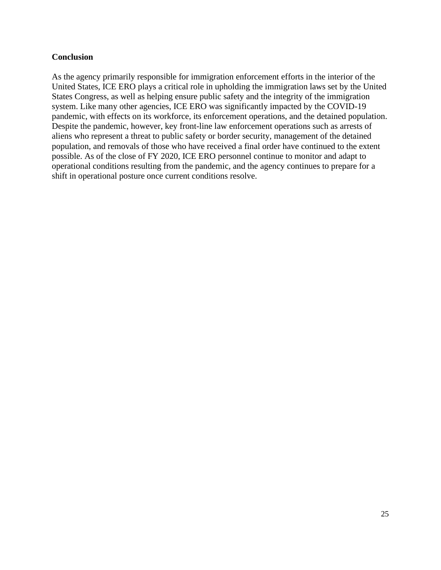## **Conclusion**

<span id="page-24-0"></span>As the agency primarily responsible for immigration enforcement efforts in the interior of the United States, ICE ERO plays a critical role in upholding the immigration laws set by the United States Congress, as well as helping ensure public safety and the integrity of the immigration system. Like many other agencies, ICE ERO was significantly impacted by the COVID-19 pandemic, with effects on its workforce, its enforcement operations, and the detained population. Despite the pandemic, however, key front-line law enforcement operations such as arrests of aliens who represent a threat to public safety or border security, management of the detained population, and removals of those who have received a final order have continued to the extent possible. As of the close of FY 2020, ICE ERO personnel continue to monitor and adapt to operational conditions resulting from the pandemic, and the agency continues to prepare for a shift in operational posture once current conditions resolve.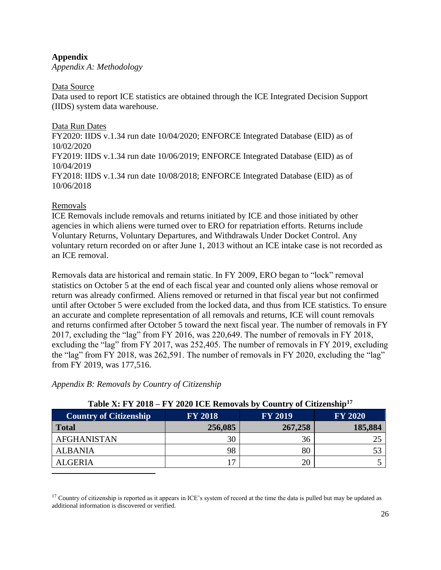## **Appendix**

<span id="page-25-0"></span>*Appendix A: Methodology*

#### Data Source

Data used to report ICE statistics are obtained through the ICE Integrated Decision Support (IIDS) system data warehouse.

Data Run Dates FY2020: IIDS v.1.34 run date 10/04/2020; ENFORCE Integrated Database (EID) as of 10/02/2020 FY2019: IIDS v.1.34 run date 10/06/2019; ENFORCE Integrated Database (EID) as of 10/04/2019 FY2018: IIDS v.1.34 run date 10/08/2018; ENFORCE Integrated Database (EID) as of 10/06/2018

## Removals

ICE Removals include removals and returns initiated by ICE and those initiated by other agencies in which aliens were turned over to ERO for repatriation efforts. Returns include Voluntary Returns, Voluntary Departures, and Withdrawals Under Docket Control. Any voluntary return recorded on or after June 1, 2013 without an ICE intake case is not recorded as an ICE removal.

Removals data are historical and remain static. In FY 2009, ERO began to "lock" removal statistics on October 5 at the end of each fiscal year and counted only aliens whose removal or return was already confirmed. Aliens removed or returned in that fiscal year but not confirmed until after October 5 were excluded from the locked data, and thus from ICE statistics. To ensure an accurate and complete representation of all removals and returns, ICE will count removals and returns confirmed after October 5 toward the next fiscal year. The number of removals in FY 2017, excluding the "lag" from FY 2016, was 220,649. The number of removals in FY 2018, excluding the "lag" from FY 2017, was 252,405. The number of removals in FY 2019, excluding the "lag" from FY 2018, was 262,591. The number of removals in FY 2020, excluding the "lag" from FY 2019, was 177,516.

## <span id="page-25-1"></span>*Appendix B: Removals by Country of Citizenship*

| Table X: FY 2018 – FY 2020 ICE Removals by Country of Citizenship <sup>17</sup> |                |                |                |
|---------------------------------------------------------------------------------|----------------|----------------|----------------|
| <b>Country of Citizenship</b>                                                   | <b>FY 2018</b> | <b>FY 2019</b> | <b>FY 2020</b> |
| <b>Total</b>                                                                    | 256,085        | 267,258        | 185,884        |
| <b>AFGHANISTAN</b>                                                              | 30             | 36             | 25             |
| <b>ALBANIA</b>                                                                  | 98             | 80             |                |
| <b>ALGERIA</b>                                                                  | 17             | 20             |                |

## **Table X: FY 2018 – FY 2020 ICE Removals by Country of Citizenship<sup>17</sup>**

 $17$  Country of citizenship is reported as it appears in ICE's system of record at the time the data is pulled but may be updated as additional information is discovered or verified.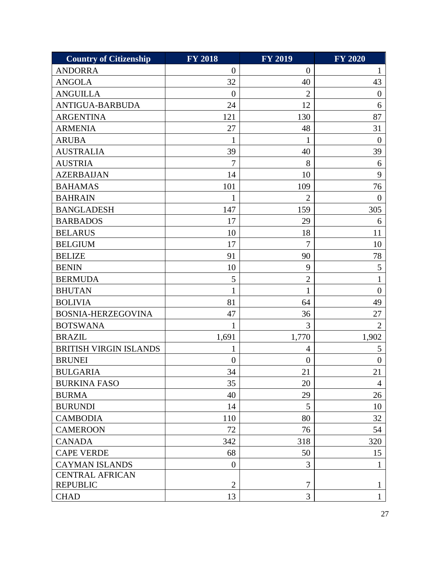| <b>Country of Citizenship</b> | <b>FY 2018</b> | <b>FY 2019</b> | <b>FY 2020</b> |
|-------------------------------|----------------|----------------|----------------|
| <b>ANDORRA</b>                | $\theta$       | $\overline{0}$ | $\mathbf{1}$   |
| <b>ANGOLA</b>                 | 32             | 40             | 43             |
| <b>ANGUILLA</b>               | $\theta$       | $\overline{2}$ | $\theta$       |
| ANTIGUA-BARBUDA               | 24             | 12             | 6              |
| <b>ARGENTINA</b>              | 121            | 130            | 87             |
| <b>ARMENIA</b>                | 27             | 48             | 31             |
| <b>ARUBA</b>                  | 1              | 1              | $\overline{0}$ |
| <b>AUSTRALIA</b>              | 39             | 40             | 39             |
| <b>AUSTRIA</b>                | $\overline{7}$ | 8              | 6              |
| <b>AZERBAIJAN</b>             | 14             | 10             | 9              |
| <b>BAHAMAS</b>                | 101            | 109            | 76             |
| <b>BAHRAIN</b>                | $\mathbf{1}$   | $\overline{2}$ | $\overline{0}$ |
| <b>BANGLADESH</b>             | 147            | 159            | 305            |
| <b>BARBADOS</b>               | 17             | 29             | 6              |
| <b>BELARUS</b>                | 10             | 18             | 11             |
| <b>BELGIUM</b>                | 17             | 7              | 10             |
| <b>BELIZE</b>                 | 91             | 90             | 78             |
| <b>BENIN</b>                  | 10             | 9              | 5              |
| <b>BERMUDA</b>                | 5              | $\overline{2}$ |                |
| <b>BHUTAN</b>                 | $\mathbf{1}$   | 1              | $\theta$       |
| <b>BOLIVIA</b>                | 81             | 64             | 49             |
| <b>BOSNIA-HERZEGOVINA</b>     | 47             | 36             | 27             |
| <b>BOTSWANA</b>               | 1              | 3              | $\overline{2}$ |
| <b>BRAZIL</b>                 | 1,691          | 1,770          | 1,902          |
| <b>BRITISH VIRGIN ISLANDS</b> | 1              | 4              | 5              |
| <b>BRUNEI</b>                 | $\overline{0}$ | $\overline{0}$ | $\overline{0}$ |
| <b>BULGARIA</b>               | 34             | 21             | 21             |
| <b>BURKINA FASO</b>           | 35             | 20             | $\overline{4}$ |
| <b>BURMA</b>                  | 40             | 29             | 26             |
| <b>BURUNDI</b>                | 14             | 5              | 10             |
| <b>CAMBODIA</b>               | 110            | 80             | 32             |
| <b>CAMEROON</b>               | 72             | 76             | 54             |
| <b>CANADA</b>                 | 342            | 318            | 320            |
| <b>CAPE VERDE</b>             | 68             | 50             | 15             |
| <b>CAYMAN ISLANDS</b>         | $\theta$       | 3              | 1              |
| <b>CENTRAL AFRICAN</b>        |                |                |                |
| <b>REPUBLIC</b>               | $\overline{2}$ | $\tau$         | $\mathbf{1}$   |
| <b>CHAD</b>                   | 13             | 3              | $\mathbf{1}$   |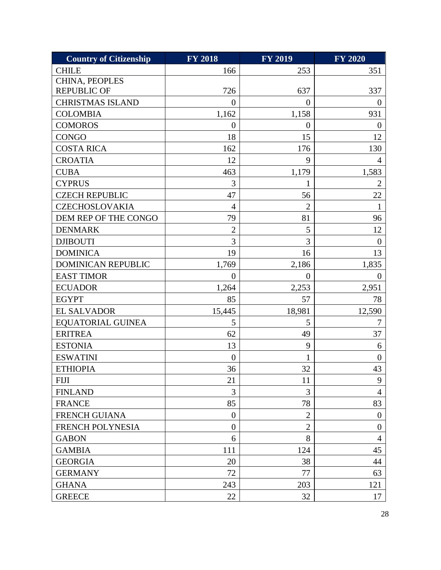| <b>Country of Citizenship</b> | <b>FY 2018</b> | <b>FY 2019</b>   | <b>FY 2020</b>   |
|-------------------------------|----------------|------------------|------------------|
| <b>CHILE</b>                  | 166            | 253              | 351              |
| CHINA, PEOPLES                |                |                  |                  |
| <b>REPUBLIC OF</b>            | 726            | 637              | 337              |
| <b>CHRISTMAS ISLAND</b>       | $\theta$       | $\overline{0}$   | $\overline{0}$   |
| <b>COLOMBIA</b>               | 1,162          | 1,158            | 931              |
| <b>COMOROS</b>                | $\theta$       | $\boldsymbol{0}$ | $\overline{0}$   |
| <b>CONGO</b>                  | 18             | 15               | 12               |
| <b>COSTA RICA</b>             | 162            | 176              | 130              |
| <b>CROATIA</b>                | 12             | 9                | 4                |
| <b>CUBA</b>                   | 463            | 1,179            | 1,583            |
| <b>CYPRUS</b>                 | 3              | 1                | $\overline{2}$   |
| <b>CZECH REPUBLIC</b>         | 47             | 56               | 22               |
| <b>CZECHOSLOVAKIA</b>         | $\overline{4}$ | $\overline{2}$   | $\mathbf{1}$     |
| DEM REP OF THE CONGO          | 79             | 81               | 96               |
| <b>DENMARK</b>                | $\overline{2}$ | 5                | 12               |
| <b>DJIBOUTI</b>               | 3              | $\overline{3}$   | $\boldsymbol{0}$ |
| <b>DOMINICA</b>               | 19             | 16               | 13               |
| DOMINICAN REPUBLIC            | 1,769          | 2,186            | 1,835            |
| <b>EAST TIMOR</b>             | $\overline{0}$ | $\theta$         | $\boldsymbol{0}$ |
| <b>ECUADOR</b>                | 1,264          | 2,253            | 2,951            |
| <b>EGYPT</b>                  | 85             | 57               | 78               |
| <b>EL SALVADOR</b>            | 15,445         | 18,981           | 12,590           |
| <b>EQUATORIAL GUINEA</b>      | 5              | 5                | 7                |
| <b>ERITREA</b>                | 62             | 49               | 37               |
| <b>ESTONIA</b>                | 13             | 9                | 6                |
| <b>ESWATINI</b>               | $\overline{0}$ | 1                | $\overline{0}$   |
| <b>ETHIOPIA</b>               | 36             | 32               | 43               |
| <b>FIJI</b>                   | 21             | 11               | 9                |
| <b>FINLAND</b>                | 3              | 3                | $\overline{4}$   |
| <b>FRANCE</b>                 | 85             | 78               | 83               |
| <b>FRENCH GUIANA</b>          | $\theta$       | $\overline{2}$   | $\overline{0}$   |
| FRENCH POLYNESIA              | $\overline{0}$ | $\overline{2}$   | $\overline{0}$   |
| <b>GABON</b>                  | 6              | 8                | 4                |
| <b>GAMBIA</b>                 | 111            | 124              | 45               |
| <b>GEORGIA</b>                | 20             | 38               | 44               |
| <b>GERMANY</b>                | 72             | 77               | 63               |
| <b>GHANA</b>                  | 243            | 203              | 121              |
| <b>GREECE</b>                 | 22             | 32               | 17               |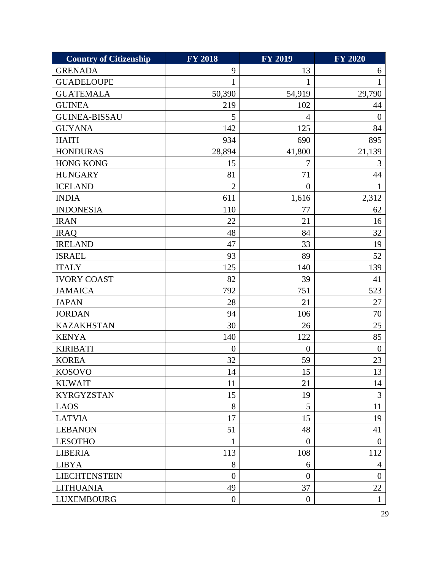| <b>Country of Citizenship</b> | <b>FY 2018</b> | <b>FY 2019</b> | <b>FY 2020</b> |
|-------------------------------|----------------|----------------|----------------|
| <b>GRENADA</b>                | 9              | 13             | 6              |
| <b>GUADELOUPE</b>             | 1              | 1              | 1              |
| <b>GUATEMALA</b>              | 50,390         | 54,919         | 29,790         |
| <b>GUINEA</b>                 | 219            | 102            | 44             |
| <b>GUINEA-BISSAU</b>          | 5              | 4              | $\overline{0}$ |
| <b>GUYANA</b>                 | 142            | 125            | 84             |
| <b>HAITI</b>                  | 934            | 690            | 895            |
| <b>HONDURAS</b>               | 28,894         | 41,800         | 21,139         |
| <b>HONG KONG</b>              | 15             | $\overline{7}$ | 3              |
| <b>HUNGARY</b>                | 81             | 71             | 44             |
| <b>ICELAND</b>                | $\overline{2}$ | $\theta$       |                |
| <b>INDIA</b>                  | 611            | 1,616          | 2,312          |
| <b>INDONESIA</b>              | 110            | 77             | 62             |
| <b>IRAN</b>                   | 22             | 21             | 16             |
| <b>IRAQ</b>                   | 48             | 84             | 32             |
| <b>IRELAND</b>                | 47             | 33             | 19             |
| <b>ISRAEL</b>                 | 93             | 89             | 52             |
| <b>ITALY</b>                  | 125            | 140            | 139            |
| <b>IVORY COAST</b>            | 82             | 39             | 41             |
| <b>JAMAICA</b>                | 792            | 751            | 523            |
| <b>JAPAN</b>                  | 28             | 21             | 27             |
| <b>JORDAN</b>                 | 94             | 106            | 70             |
| <b>KAZAKHSTAN</b>             | 30             | 26             | 25             |
| <b>KENYA</b>                  | 140            | 122            | 85             |
| <b>KIRIBATI</b>               | $\overline{0}$ | $\overline{0}$ | $\overline{0}$ |
| <b>KOREA</b>                  | 32             | 59             | 23             |
| <b>KOSOVO</b>                 | 14             | 15             | 13             |
| <b>KUWAIT</b>                 | 11             | 21             | 14             |
| <b>KYRGYZSTAN</b>             | 15             | 19             | 3              |
| <b>LAOS</b>                   | 8              | 5              | 11             |
| <b>LATVIA</b>                 | 17             | 15             | 19             |
| <b>LEBANON</b>                | 51             | 48             | 41             |
| <b>LESOTHO</b>                | $\mathbf{1}$   | $\overline{0}$ | $\overline{0}$ |
| <b>LIBERIA</b>                | 113            | 108            | 112            |
| <b>LIBYA</b>                  | 8              | 6              | $\overline{4}$ |
| <b>LIECHTENSTEIN</b>          | $\overline{0}$ | $\overline{0}$ | $\overline{0}$ |
| <b>LITHUANIA</b>              | 49             | 37             | 22             |
| <b>LUXEMBOURG</b>             | $\overline{0}$ | $\overline{0}$ | $\mathbf{1}$   |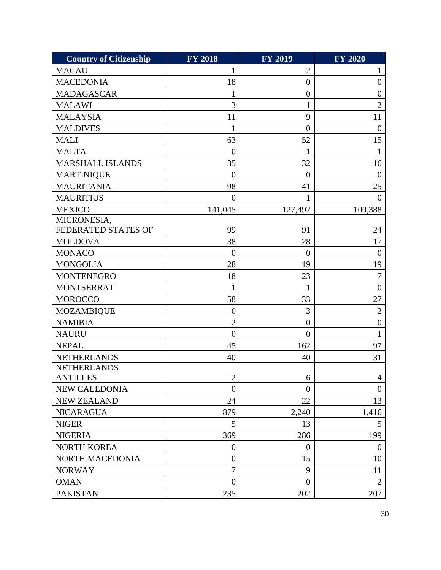| <b>Country of Citizenship</b> | <b>FY 2018</b>   | <b>FY 2019</b>   | <b>FY 2020</b>   |
|-------------------------------|------------------|------------------|------------------|
| <b>MACAU</b>                  | 1                | $\overline{2}$   | $\mathbf{1}$     |
| <b>MACEDONIA</b>              | 18               | $\boldsymbol{0}$ | $\overline{0}$   |
| <b>MADAGASCAR</b>             | 1                | $\boldsymbol{0}$ | $\boldsymbol{0}$ |
| <b>MALAWI</b>                 | $\overline{3}$   | 1                | $\overline{2}$   |
| <b>MALAYSIA</b>               | 11               | 9                | 11               |
| <b>MALDIVES</b>               | 1                | $\boldsymbol{0}$ | $\overline{0}$   |
| <b>MALI</b>                   | 63               | 52               | 15               |
| <b>MALTA</b>                  | $\overline{0}$   | $\mathbf{1}$     | 1                |
| <b>MARSHALL ISLANDS</b>       | 35               | 32               | 16               |
| <b>MARTINIQUE</b>             | $\theta$         | $\overline{0}$   | $\theta$         |
| <b>MAURITANIA</b>             | 98               | 41               | 25               |
| <b>MAURITIUS</b>              | $\overline{0}$   | 1                | $\overline{0}$   |
| <b>MEXICO</b>                 | 141,045          | 127,492          | 100,388          |
| MICRONESIA,                   |                  |                  |                  |
| FEDERATED STATES OF           | 99               | 91               | 24               |
| <b>MOLDOVA</b>                | 38               | 28               | 17               |
| <b>MONACO</b>                 | $\theta$         | $\theta$         | $\overline{0}$   |
| <b>MONGOLIA</b>               | 28               | 19               | 19               |
| <b>MONTENEGRO</b>             | 18               | 23               | $\overline{7}$   |
| <b>MONTSERRAT</b>             | 1                | 1                | $\overline{0}$   |
| <b>MOROCCO</b>                | 58               | 33               | 27               |
| <b>MOZAMBIQUE</b>             | $\boldsymbol{0}$ | 3                | $\overline{2}$   |
| <b>NAMIBIA</b>                | $\overline{2}$   | $\overline{0}$   | $\overline{0}$   |
| <b>NAURU</b>                  | $\overline{0}$   | $\overline{0}$   | 1                |
| <b>NEPAL</b>                  | 45               | 162              | 97               |
| <b>NETHERLANDS</b>            | 40               | 40               | 31               |
| <b>NETHERLANDS</b>            |                  |                  |                  |
| <b>ANTILLES</b>               | 2                | 6                | 4                |
| NEW CALEDONIA                 | $\overline{0}$   | $\overline{0}$   | $\overline{0}$   |
| <b>NEW ZEALAND</b>            | 24               | 22               | 13               |
| <b>NICARAGUA</b>              | 879              | 2,240            | 1,416            |
| <b>NIGER</b>                  | 5                | 13               | 5                |
| <b>NIGERIA</b>                | 369              | 286              | 199              |
| NORTH KOREA                   | $\overline{0}$   | $\overline{0}$   | $\mathbf{0}$     |
| NORTH MACEDONIA               | $\theta$         | 15               | 10               |
| <b>NORWAY</b>                 | 7                | 9                | 11               |
| <b>OMAN</b>                   | $\overline{0}$   | $\overline{0}$   | $\overline{2}$   |
| <b>PAKISTAN</b>               | 235              | 202              | 207              |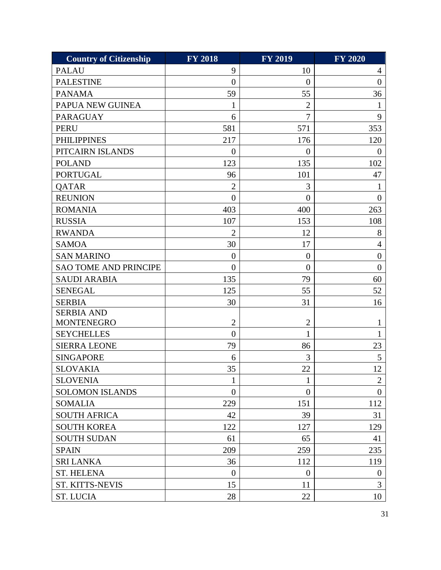| <b>Country of Citizenship</b> | <b>FY 2018</b>   | <b>FY 2019</b> | <b>FY 2020</b> |
|-------------------------------|------------------|----------------|----------------|
| <b>PALAU</b>                  | 9                | 10             | $\overline{4}$ |
| <b>PALESTINE</b>              | $\overline{0}$   | $\overline{0}$ | $\overline{0}$ |
| <b>PANAMA</b>                 | 59               | 55             | 36             |
| PAPUA NEW GUINEA              | 1                | $\overline{2}$ | 1              |
| <b>PARAGUAY</b>               | 6                | 7              | 9              |
| <b>PERU</b>                   | 581              | 571            | 353            |
| <b>PHILIPPINES</b>            | 217              | 176            | 120            |
| PITCAIRN ISLANDS              | $\theta$         | $\overline{0}$ | $\theta$       |
| <b>POLAND</b>                 | 123              | 135            | 102            |
| <b>PORTUGAL</b>               | 96               | 101            | 47             |
| QATAR                         | $\overline{2}$   | 3              |                |
| <b>REUNION</b>                | $\overline{0}$   | $\overline{0}$ | $\overline{0}$ |
| <b>ROMANIA</b>                | 403              | 400            | 263            |
| <b>RUSSIA</b>                 | 107              | 153            | 108            |
| <b>RWANDA</b>                 | $\overline{2}$   | 12             | 8              |
| <b>SAMOA</b>                  | 30               | 17             | 4              |
| <b>SAN MARINO</b>             | $\overline{0}$   | $\overline{0}$ | $\overline{0}$ |
| <b>SAO TOME AND PRINCIPE</b>  | $\overline{0}$   | $\overline{0}$ | $\overline{0}$ |
| <b>SAUDI ARABIA</b>           | 135              | 79             | 60             |
| <b>SENEGAL</b>                | 125              | 55             | 52             |
| <b>SERBIA</b>                 | 30               | 31             | 16             |
| <b>SERBIA AND</b>             |                  |                |                |
| <b>MONTENEGRO</b>             | $\overline{2}$   | $\overline{c}$ | 1              |
| <b>SEYCHELLES</b>             | $\overline{0}$   | 1              | 1              |
| <b>SIERRA LEONE</b>           | 79               | 86             | 23             |
| <b>SINGAPORE</b>              | 6                | 3              | 5              |
| <b>SLOVAKIA</b>               | 35               | 22             | 12             |
| <b>SLOVENIA</b>               | $\mathbf{1}$     | 1              | $\overline{2}$ |
| <b>SOLOMON ISLANDS</b>        | $\boldsymbol{0}$ | $\overline{0}$ | $\overline{0}$ |
| <b>SOMALIA</b>                | 229              | 151            | 112            |
| <b>SOUTH AFRICA</b>           | 42               | 39             | 31             |
| <b>SOUTH KOREA</b>            | 122              | 127            | 129            |
| <b>SOUTH SUDAN</b>            | 61               | 65             | 41             |
| <b>SPAIN</b>                  | 209              | 259            | 235            |
| <b>SRI LANKA</b>              | 36               | 112            | 119            |
| <b>ST. HELENA</b>             | $\overline{0}$   | $\overline{0}$ | $\overline{0}$ |
| <b>ST. KITTS-NEVIS</b>        | 15               | 11             | 3              |
| <b>ST. LUCIA</b>              | 28               | 22             | 10             |